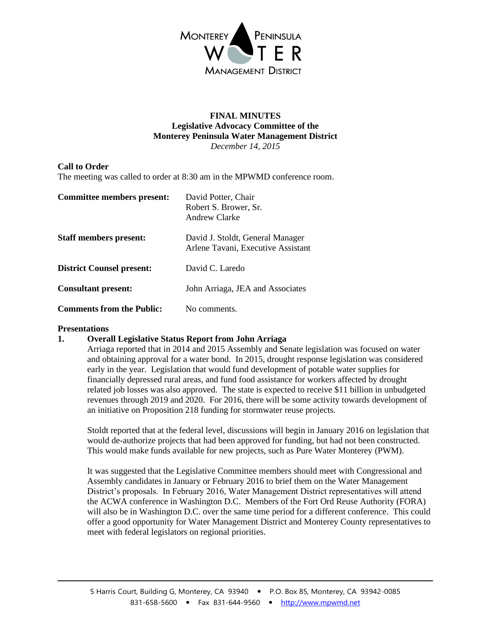

#### **FINAL MINUTES Legislative Advocacy Committee of the Monterey Peninsula Water Management District** *December 14, 2015*

## **Call to Order**

The meeting was called to order at 8:30 am in the MPWMD conference room.

| Committee members present:       | David Potter, Chair<br>Robert S. Brower, Sr.<br>Andrew Clarke          |
|----------------------------------|------------------------------------------------------------------------|
| <b>Staff members present:</b>    | David J. Stoldt, General Manager<br>Arlene Tavani, Executive Assistant |
| <b>District Counsel present:</b> | David C. Laredo                                                        |
| <b>Consultant present:</b>       | John Arriaga, JEA and Associates                                       |
| <b>Comments from the Public:</b> | No comments.                                                           |

#### **Presentations**

### **1. Overall Legislative Status Report from John Arriaga**

Arriaga reported that in 2014 and 2015 Assembly and Senate legislation was focused on water and obtaining approval for a water bond. In 2015, drought response legislation was considered early in the year. Legislation that would fund development of potable water supplies for financially depressed rural areas, and fund food assistance for workers affected by drought related job losses was also approved. The state is expected to receive \$11 billion in unbudgeted revenues through 2019 and 2020. For 2016, there will be some activity towards development of an initiative on Proposition 218 funding for stormwater reuse projects.

Stoldt reported that at the federal level, discussions will begin in January 2016 on legislation that would de-authorize projects that had been approved for funding, but had not been constructed. This would make funds available for new projects, such as Pure Water Monterey (PWM).

It was suggested that the Legislative Committee members should meet with Congressional and Assembly candidates in January or February 2016 to brief them on the Water Management District's proposals. In February 2016, Water Management District representatives will attend the ACWA conference in Washington D.C. Members of the Fort Ord Reuse Authority (FORA) will also be in Washington D.C. over the same time period for a different conference. This could offer a good opportunity for Water Management District and Monterey County representatives to meet with federal legislators on regional priorities.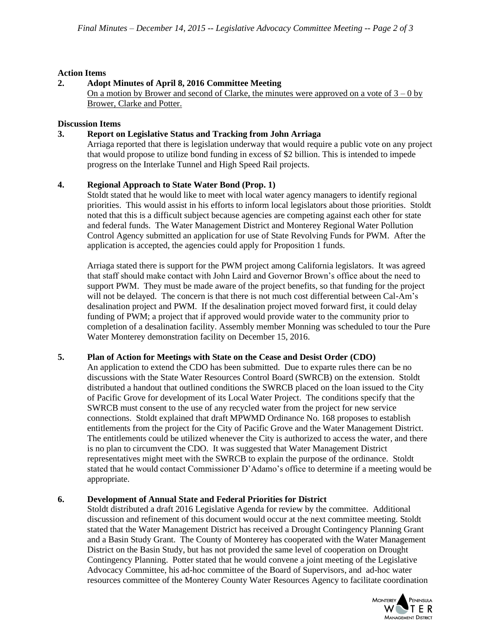### **Action Items**

## **2. Adopt Minutes of April 8, 2016 Committee Meeting**

On a motion by Brower and second of Clarke, the minutes were approved on a vote of  $3 - 0$  by Brower, Clarke and Potter.

#### **Discussion Items**

### **3. Report on Legislative Status and Tracking from John Arriaga**

Arriaga reported that there is legislation underway that would require a public vote on any project that would propose to utilize bond funding in excess of \$2 billion. This is intended to impede progress on the Interlake Tunnel and High Speed Rail projects.

## **4. Regional Approach to State Water Bond (Prop. 1)**

Stoldt stated that he would like to meet with local water agency managers to identify regional priorities. This would assist in his efforts to inform local legislators about those priorities. Stoldt noted that this is a difficult subject because agencies are competing against each other for state and federal funds. The Water Management District and Monterey Regional Water Pollution Control Agency submitted an application for use of State Revolving Funds for PWM. After the application is accepted, the agencies could apply for Proposition 1 funds.

Arriaga stated there is support for the PWM project among California legislators. It was agreed that staff should make contact with John Laird and Governor Brown's office about the need to support PWM. They must be made aware of the project benefits, so that funding for the project will not be delayed. The concern is that there is not much cost differential between Cal-Am's desalination project and PWM. If the desalination project moved forward first, it could delay funding of PWM; a project that if approved would provide water to the community prior to completion of a desalination facility. Assembly member Monning was scheduled to tour the Pure Water Monterey demonstration facility on December 15, 2016.

### **5. Plan of Action for Meetings with State on the Cease and Desist Order (CDO)**

An application to extend the CDO has been submitted. Due to exparte rules there can be no discussions with the State Water Resources Control Board (SWRCB) on the extension. Stoldt distributed a handout that outlined conditions the SWRCB placed on the loan issued to the City of Pacific Grove for development of its Local Water Project. The conditions specify that the SWRCB must consent to the use of any recycled water from the project for new service connections. Stoldt explained that draft MPWMD Ordinance No. 168 proposes to establish entitlements from the project for the City of Pacific Grove and the Water Management District. The entitlements could be utilized whenever the City is authorized to access the water, and there is no plan to circumvent the CDO. It was suggested that Water Management District representatives might meet with the SWRCB to explain the purpose of the ordinance. Stoldt stated that he would contact Commissioner D'Adamo's office to determine if a meeting would be appropriate.

### **6. Development of Annual State and Federal Priorities for District**

Stoldt distributed a draft 2016 Legislative Agenda for review by the committee. Additional discussion and refinement of this document would occur at the next committee meeting. Stoldt stated that the Water Management District has received a Drought Contingency Planning Grant and a Basin Study Grant. The County of Monterey has cooperated with the Water Management District on the Basin Study, but has not provided the same level of cooperation on Drought Contingency Planning. Potter stated that he would convene a joint meeting of the Legislative Advocacy Committee, his ad-hoc committee of the Board of Supervisors, and ad-hoc water resources committee of the Monterey County Water Resources Agency to facilitate coordination